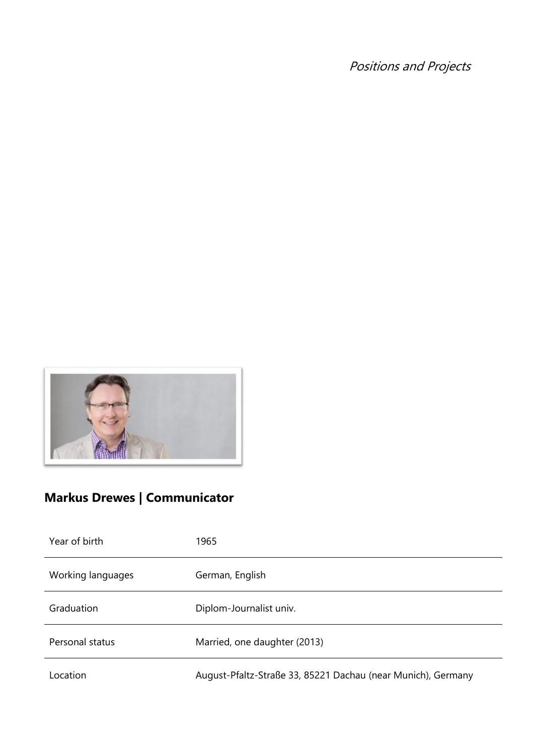Positions and Projects



# **Markus Drewes | Communicator**

| Year of birth     | 1965                                                         |
|-------------------|--------------------------------------------------------------|
| Working languages | German, English                                              |
| Graduation        | Diplom-Journalist univ.                                      |
| Personal status   | Married, one daughter (2013)                                 |
| Location          | August-Pfaltz-Straße 33, 85221 Dachau (near Munich), Germany |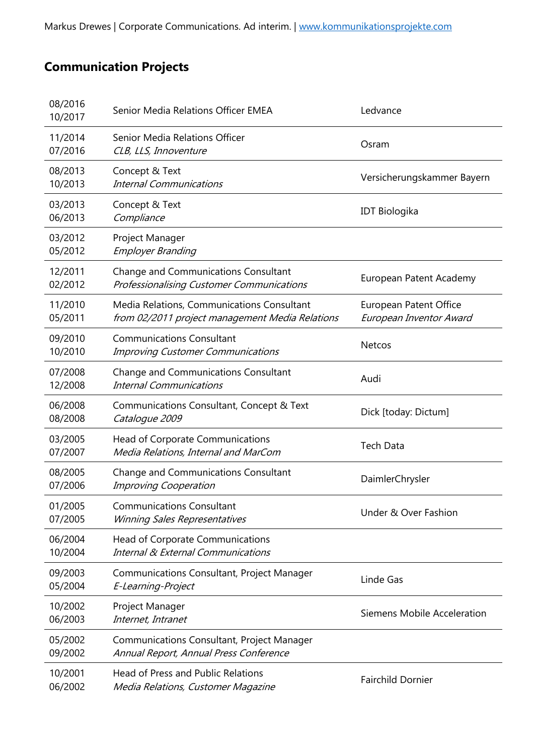## **Communication Projects**

| 08/2016<br>10/2017 | Senior Media Relations Officer EMEA                                                           | Ledvance                                                 |
|--------------------|-----------------------------------------------------------------------------------------------|----------------------------------------------------------|
| 11/2014<br>07/2016 | Senior Media Relations Officer<br>CLB, LLS, Innoventure                                       | Osram                                                    |
| 08/2013<br>10/2013 | Concept & Text<br><b>Internal Communications</b>                                              | Versicherungskammer Bayern                               |
| 03/2013<br>06/2013 | Concept & Text<br>Compliance                                                                  | <b>IDT Biologika</b>                                     |
| 03/2012<br>05/2012 | Project Manager<br><b>Employer Branding</b>                                                   |                                                          |
| 12/2011<br>02/2012 | Change and Communications Consultant<br>Professionalising Customer Communications             | European Patent Academy                                  |
| 11/2010<br>05/2011 | Media Relations, Communications Consultant<br>from 02/2011 project management Media Relations | <b>European Patent Office</b><br>European Inventor Award |
| 09/2010<br>10/2010 | <b>Communications Consultant</b><br><b>Improving Customer Communications</b>                  | <b>Netcos</b>                                            |
| 07/2008<br>12/2008 | Change and Communications Consultant<br><b>Internal Communications</b>                        | Audi                                                     |
| 06/2008<br>08/2008 | Communications Consultant, Concept & Text<br>Catalogue 2009                                   | Dick [today: Dictum]                                     |
| 03/2005<br>07/2007 | Head of Corporate Communications<br>Media Relations, Internal and MarCom                      | <b>Tech Data</b>                                         |
| 08/2005<br>07/2006 | <b>Change and Communications Consultant</b><br>Improving Cooperation                          | DaimlerChrysler                                          |
| 01/2005<br>07/2005 | <b>Communications Consultant</b><br>Winning Sales Representatives                             | Under & Over Fashion                                     |
| 06/2004<br>10/2004 | Head of Corporate Communications<br><b>Internal &amp; External Communications</b>             |                                                          |
| 09/2003<br>05/2004 | Communications Consultant, Project Manager<br>E-Learning-Project                              | Linde Gas                                                |
| 10/2002<br>06/2003 | Project Manager<br>Internet, Intranet                                                         | Siemens Mobile Acceleration                              |
| 05/2002<br>09/2002 | <b>Communications Consultant, Project Manager</b><br>Annual Report, Annual Press Conference   |                                                          |
| 10/2001<br>06/2002 | <b>Head of Press and Public Relations</b><br>Media Relations, Customer Magazine               | <b>Fairchild Dornier</b>                                 |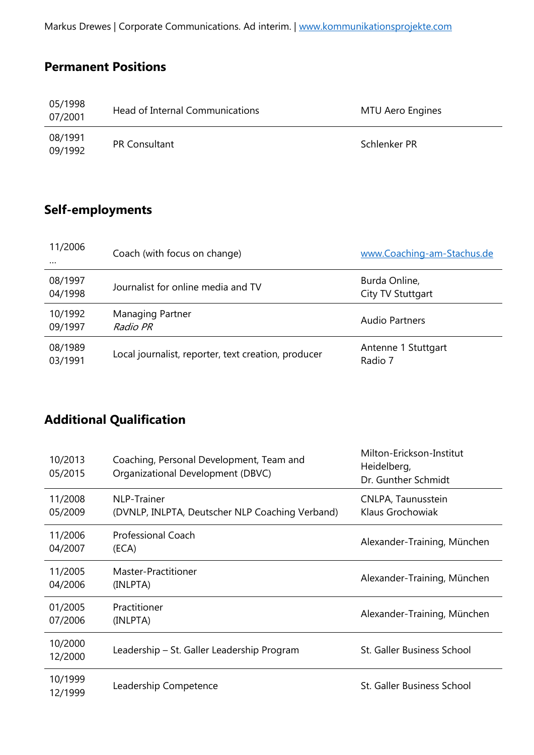Markus Drewes | Corporate Communications. Ad interim. | [www.kommunikationsprojekte.com](http://www.kommunikationsprojekte.com/)

#### **Permanent Positions**

| 05/1998<br>07/2001 | Head of Internal Communications | MTU Aero Engines |
|--------------------|---------------------------------|------------------|
| 08/1991<br>09/1992 | <b>PR Consultant</b>            | Schlenker PR     |

#### **Self-employments**

| 11/2006<br>$\cdots$ | Coach (with focus on change)                        | www.Coaching-am-Stachus.de         |
|---------------------|-----------------------------------------------------|------------------------------------|
| 08/1997<br>04/1998  | Journalist for online media and TV                  | Burda Online,<br>City TV Stuttgart |
| 10/1992<br>09/1997  | Managing Partner<br>Radio PR                        | Audio Partners                     |
| 08/1989<br>03/1991  | Local journalist, reporter, text creation, producer | Antenne 1 Stuttgart<br>Radio 7     |

## **Additional Qualification**

| 10/2013<br>05/2015 | Coaching, Personal Development, Team and<br>Organizational Development (DBVC) | Milton-Erickson-Institut<br>Heidelberg,<br>Dr. Gunther Schmidt |
|--------------------|-------------------------------------------------------------------------------|----------------------------------------------------------------|
| 11/2008<br>05/2009 | <b>NLP-Trainer</b><br>(DVNLP, INLPTA, Deutscher NLP Coaching Verband)         | CNLPA, Taunusstein<br>Klaus Grochowiak                         |
| 11/2006<br>04/2007 | <b>Professional Coach</b><br>(ECA)                                            | Alexander-Training, München                                    |
| 11/2005<br>04/2006 | Master-Practitioner<br>(INLPTA)                                               | Alexander-Training, München                                    |
| 01/2005<br>07/2006 | Practitioner<br>(INLPTA)                                                      | Alexander-Training, München                                    |
| 10/2000<br>12/2000 | Leadership – St. Galler Leadership Program                                    | St. Galler Business School                                     |
| 10/1999<br>12/1999 | Leadership Competence                                                         | St. Galler Business School                                     |